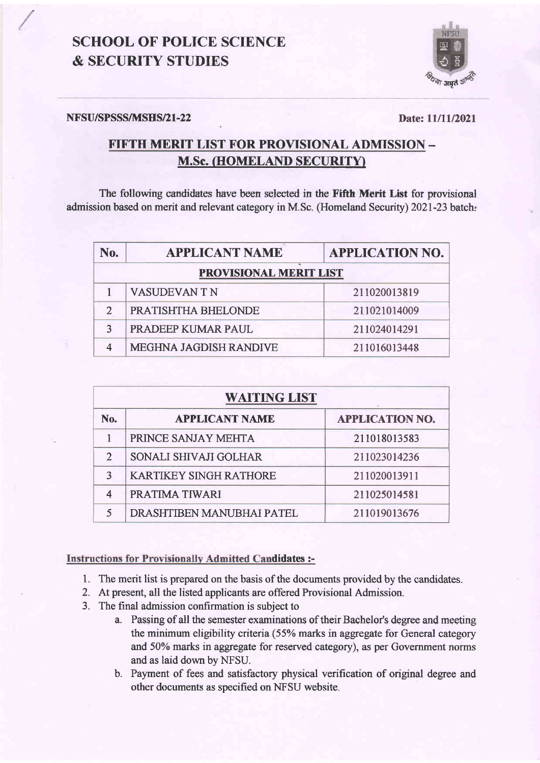## **SCHOOL OF POLICE SCIENCE & SECURITY STUDIES**



#### NFSU/SPSSS/MSHS/21-22

Date: 11/11/2021

### FIFTH MERIT LIST FOR PROVISIONAL ADMISSION -**M.Sc. (HOMELAND SECURITY)**

The following candidates have been selected in the Fifth Merit List for provisional admission based on merit and relevant category in M.Sc. (Homeland Security) 2021-23 batch:

| No.                    | <b>APPLICANT NAME</b>  | <b>APPLICATION NO.</b> |
|------------------------|------------------------|------------------------|
| PROVISIONAL MERIT LIST |                        |                        |
|                        | <b>VASUDEVAN T N</b>   | 211020013819           |
| $\mathcal{P}$          | PRATISHTHA BHELONDE    | 211021014009           |
|                        | PRADEEP KUMAR PAUL     | 211024014291           |
|                        | MEGHNA JAGDISH RANDIVE | 211016013448           |

| <b>WAITING LIST</b> |                               |                        |  |
|---------------------|-------------------------------|------------------------|--|
| No.                 | <b>APPLICANT NAME</b>         | <b>APPLICATION NO.</b> |  |
|                     | PRINCE SANJAY MEHTA           | 211018013583           |  |
| $\mathfrak{D}$      | SONALI SHIVAJI GOLHAR         | 211023014236           |  |
| 3                   | <b>KARTIKEY SINGH RATHORE</b> | 211020013911           |  |
|                     | PRATIMA TIWARI                | 211025014581           |  |
|                     | DRASHTIBEN MANUBHAI PATEL     | 211019013676           |  |

### **Instructions for Provisionally Admitted Candidates :-**

- 1. The merit list is prepared on the basis of the documents provided by the candidates.
- 2. At present, all the listed applicants are offered Provisional Admission.
- 3. The final admission confirmation is subject to
	- a. Passing of all the semester examinations of their Bachelor's degree and meeting the minimum eligibility criteria (55% marks in aggregate for General category and 50% marks in aggregate for reserved category), as per Government norms and as laid down by NFSU.
	- b. Payment of fees and satisfactory physical verification of original degree and other documents as specified on NFSU website.